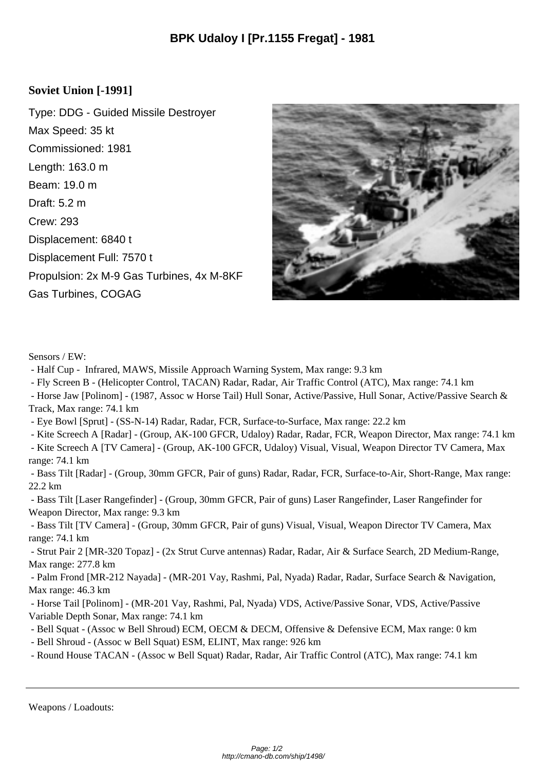## **Soviet Union [-1991]**

Type: DDG - Guided Missile Destroyer Max Speed: 35 kt Commissioned: 1981 Length: 163.0 m Beam: 19.0 m Draft: 5.2 m Crew: 293 Displacement: 6840 t Displacement Full: 7570 t Propulsion: 2x M-9 Gas Turbines, 4x M-8KF Gas Turbines, COGAG



Sensors / EW:

- Half Cup - Infrared, MAWS, Missile Approach Warning System, Max range: 9.3 km

- Fly Screen B - (Helicopter Control, TACAN) Radar, Radar, Air Traffic Control (ATC), Max range: 74.1 km

 - Horse Jaw [Polinom] - (1987, Assoc w Horse Tail) Hull Sonar, Active/Passive, Hull Sonar, Active/Passive Search & Track, Max range: 74.1 km

- Eye Bowl [Sprut] - (SS-N-14) Radar, Radar, FCR, Surface-to-Surface, Max range: 22.2 km

- Kite Screech A [Radar] - (Group, AK-100 GFCR, Udaloy) Radar, Radar, FCR, Weapon Director, Max range: 74.1 km

 - Kite Screech A [TV Camera] - (Group, AK-100 GFCR, Udaloy) Visual, Visual, Weapon Director TV Camera, Max range: 74.1 km

 - Bass Tilt [Radar] - (Group, 30mm GFCR, Pair of guns) Radar, Radar, FCR, Surface-to-Air, Short-Range, Max range: 22.2 km

 - Bass Tilt [Laser Rangefinder] - (Group, 30mm GFCR, Pair of guns) Laser Rangefinder, Laser Rangefinder for Weapon Director, Max range: 9.3 km

 - Bass Tilt [TV Camera] - (Group, 30mm GFCR, Pair of guns) Visual, Visual, Weapon Director TV Camera, Max range: 74.1 km

 - Strut Pair 2 [MR-320 Topaz] - (2x Strut Curve antennas) Radar, Radar, Air & Surface Search, 2D Medium-Range, Max range: 277.8 km

 - Palm Frond [MR-212 Nayada] - (MR-201 Vay, Rashmi, Pal, Nyada) Radar, Radar, Surface Search & Navigation, Max range: 46.3 km

 - Horse Tail [Polinom] - (MR-201 Vay, Rashmi, Pal, Nyada) VDS, Active/Passive Sonar, VDS, Active/Passive Variable Depth Sonar, Max range: 74.1 km

- Bell Squat (Assoc w Bell Shroud) ECM, OECM & DECM, Offensive & Defensive ECM, Max range: 0 km
- Bell Shroud (Assoc w Bell Squat) ESM, ELINT, Max range: 926 km

- Round House TACAN - (Assoc w Bell Squat) Radar, Radar, Air Traffic Control (ATC), Max range: 74.1 km

Weapons / Loadouts: